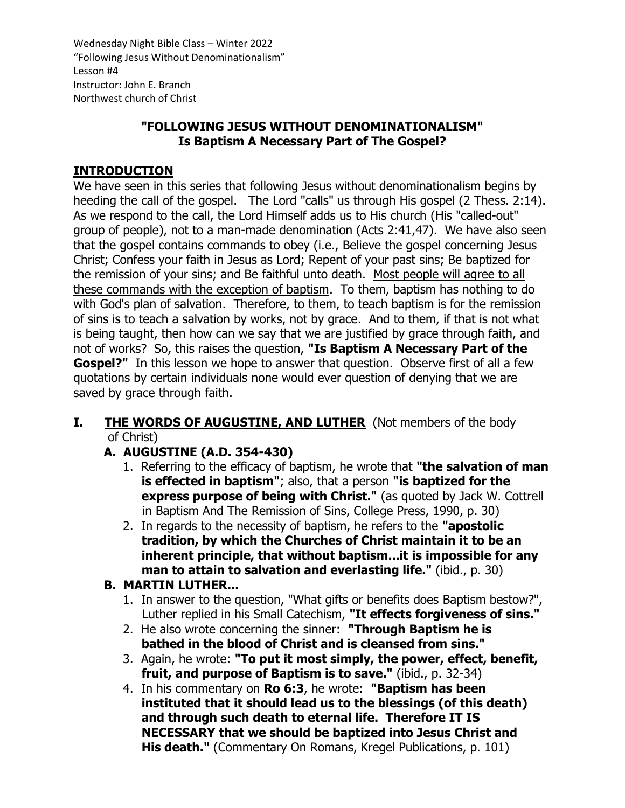# **"FOLLOWING JESUS WITHOUT DENOMINATIONALISM" Is Baptism A Necessary Part of The Gospel?**

# **INTRODUCTION**

We have seen in this series that following Jesus without denominationalism begins by heeding the call of the gospel. The Lord "calls" us through His gospel (2 Thess. 2:14). As we respond to the call, the Lord Himself adds us to His church (His "called-out" group of people), not to a man-made denomination (Acts 2:41,47). We have also seen that the gospel contains commands to obey (i.e., Believe the gospel concerning Jesus Christ; Confess your faith in Jesus as Lord; Repent of your past sins; Be baptized for the remission of your sins; and Be faithful unto death. Most people will agree to all these commands with the exception of baptism. To them, baptism has nothing to do with God's plan of salvation. Therefore, to them, to teach baptism is for the remission of sins is to teach a salvation by works, not by grace. And to them, if that is not what is being taught, then how can we say that we are justified by grace through faith, and not of works? So, this raises the question, **"Is Baptism A Necessary Part of the Gospel?"** In this lesson we hope to answer that question. Observe first of all a few quotations by certain individuals none would ever question of denying that we are saved by grace through faith.

### **I.** THE WORDS OF AUGUSTINE, AND LUTHER (Not members of the body of Christ)

# **A. AUGUSTINE (A.D. 354-430)**

- 1. Referring to the efficacy of baptism, he wrote that **"the salvation of man is effected in baptism"**; also, that a person **"is baptized for the express purpose of being with Christ."** (as quoted by Jack W. Cottrell in Baptism And The Remission of Sins, College Press, 1990, p. 30)
- 2. In regards to the necessity of baptism, he refers to the **"apostolic tradition, by which the Churches of Christ maintain it to be an inherent principle, that without baptism...it is impossible for any man to attain to salvation and everlasting life."** (ibid., p. 30)

#### **B. MARTIN LUTHER...**

- 1. In answer to the question, "What gifts or benefits does Baptism bestow?", Luther replied in his Small Catechism, **"It effects forgiveness of sins."**
- 2. He also wrote concerning the sinner: **"Through Baptism he is bathed in the blood of Christ and is cleansed from sins."**
- 3. Again, he wrote: **"To put it most simply, the power, effect, benefit, fruit, and purpose of Baptism is to save."** (ibid., p. 32-34)
- 4. In his commentary on **Ro 6:3**, he wrote: **"Baptism has been instituted that it should lead us to the blessings (of this death) and through such death to eternal life. Therefore IT IS NECESSARY that we should be baptized into Jesus Christ and His death."** (Commentary On Romans, Kregel Publications, p. 101)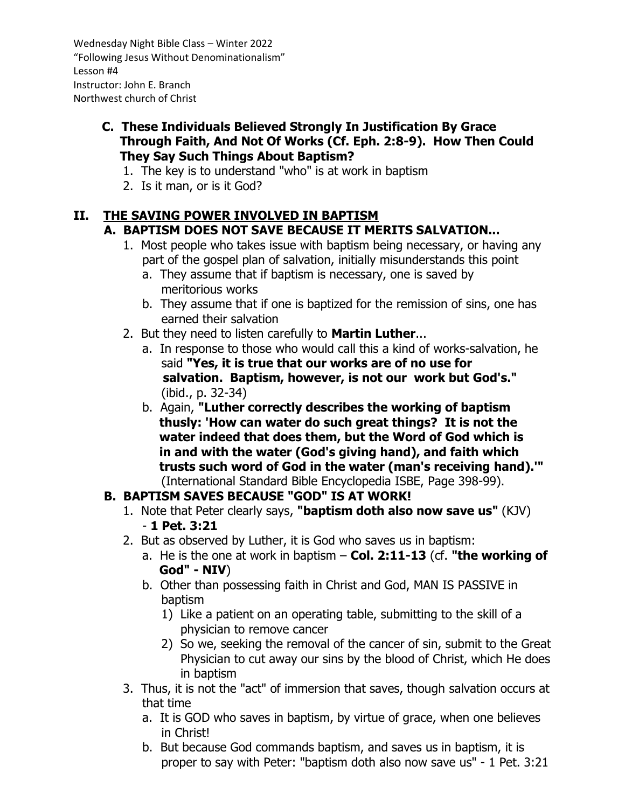- **C. These Individuals Believed Strongly In Justification By Grace Through Faith, And Not Of Works (Cf. Eph. 2:8-9). How Then Could They Say Such Things About Baptism?**
	- 1. The key is to understand "who" is at work in baptism
	- 2. Is it man, or is it God?

# **II. THE SAVING POWER INVOLVED IN BAPTISM**

# **A. BAPTISM DOES NOT SAVE BECAUSE IT MERITS SALVATION...**

- 1. Most people who takes issue with baptism being necessary, or having any part of the gospel plan of salvation, initially misunderstands this point
	- a. They assume that if baptism is necessary, one is saved by meritorious works
	- b. They assume that if one is baptized for the remission of sins, one has earned their salvation
- 2. But they need to listen carefully to **Martin Luther**...
	- a. In response to those who would call this a kind of works-salvation, he said **"Yes, it is true that our works are of no use for salvation. Baptism, however, is not our work but God's."** (ibid., p. 32-34)
	- b. Again, **"Luther correctly describes the working of baptism thusly: 'How can water do such great things? It is not the water indeed that does them, but the Word of God which is in and with the water (God's giving hand), and faith which trusts such word of God in the water (man's receiving hand).'"** (International Standard Bible Encyclopedia ISBE, Page 398-99).

# **B. BAPTISM SAVES BECAUSE "GOD" IS AT WORK!**

- 1. Note that Peter clearly says, **"baptism doth also now save us"** (KJV) - **1 Pet. 3:21**
- 2. But as observed by Luther, it is God who saves us in baptism:
	- a. He is the one at work in baptism **Col. 2:11-13** (cf. **"the working of God" - NIV**)
	- b. Other than possessing faith in Christ and God, MAN IS PASSIVE in baptism
		- 1) Like a patient on an operating table, submitting to the skill of a physician to remove cancer
		- 2) So we, seeking the removal of the cancer of sin, submit to the Great Physician to cut away our sins by the blood of Christ, which He does in baptism
- 3. Thus, it is not the "act" of immersion that saves, though salvation occurs at that time
	- a. It is GOD who saves in baptism, by virtue of grace, when one believes in Christ!
	- b. But because God commands baptism, and saves us in baptism, it is proper to say with Peter: "baptism doth also now save us" - 1 Pet. 3:21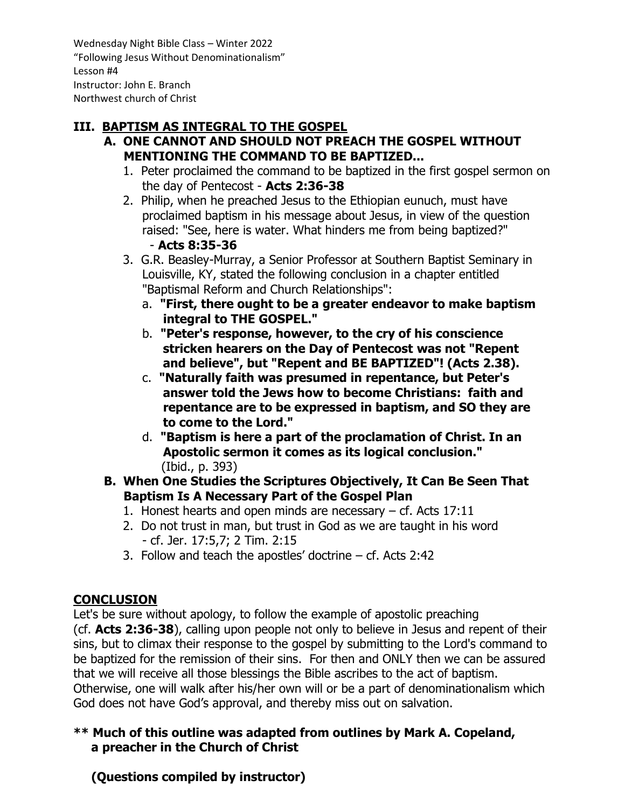# **III. BAPTISM AS INTEGRAL TO THE GOSPEL**

- **A. ONE CANNOT AND SHOULD NOT PREACH THE GOSPEL WITHOUT MENTIONING THE COMMAND TO BE BAPTIZED...**
	- 1. Peter proclaimed the command to be baptized in the first gospel sermon on the day of Pentecost - **Acts 2:36-38**
	- 2. Philip, when he preached Jesus to the Ethiopian eunuch, must have proclaimed baptism in his message about Jesus, in view of the question raised: "See, here is water. What hinders me from being baptized?" - **Acts 8:35-36**
	- 3. G.R. Beasley-Murray, a Senior Professor at Southern Baptist Seminary in Louisville, KY, stated the following conclusion in a chapter entitled "Baptismal Reform and Church Relationships":
		- a. **"First, there ought to be a greater endeavor to make baptism integral to THE GOSPEL."**
		- b. **"Peter's response, however, to the cry of his conscience stricken hearers on the Day of Pentecost was not "Repent and believe", but "Repent and BE BAPTIZED"! (Acts 2.38).**
		- c. **"Naturally faith was presumed in repentance, but Peter's answer told the Jews how to become Christians: faith and repentance are to be expressed in baptism, and SO they are to come to the Lord."**
		- d. **"Baptism is here a part of the proclamation of Christ. In an Apostolic sermon it comes as its logical conclusion."** (Ibid., p. 393)
- **B. When One Studies the Scriptures Objectively, It Can Be Seen That Baptism Is A Necessary Part of the Gospel Plan**
	- 1. Honest hearts and open minds are necessary cf. Acts 17:11
	- 2. Do not trust in man, but trust in God as we are taught in his word - cf. Jer. 17:5,7; 2 Tim. 2:15
	- 3. Follow and teach the apostles' doctrine cf. Acts 2:42

# **CONCLUSION**

Let's be sure without apology, to follow the example of apostolic preaching (cf. **Acts 2:36-38**), calling upon people not only to believe in Jesus and repent of their sins, but to climax their response to the gospel by submitting to the Lord's command to be baptized for the remission of their sins. For then and ONLY then we can be assured that we will receive all those blessings the Bible ascribes to the act of baptism. Otherwise, one will walk after his/her own will or be a part of denominationalism which God does not have God's approval, and thereby miss out on salvation.

### **\*\* Much of this outline was adapted from outlines by Mark A. Copeland, a preacher in the Church of Christ**

 **(Questions compiled by instructor)**